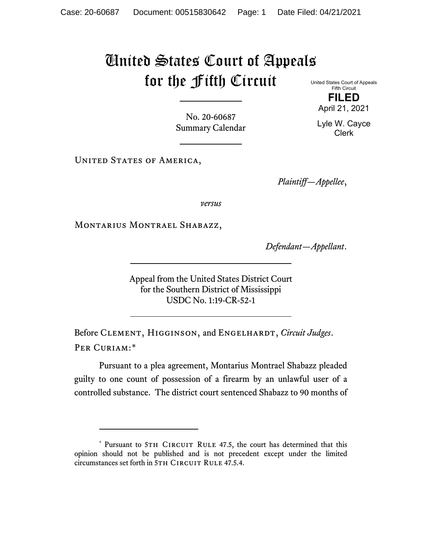## United States Court of Appeals for the Fifth Circuit United States Court of Appeals

No. 20-60687 Summary Calendar

UNITED STATES OF AMERICA,

*Plaintiff—Appellee*,

*versus*

MONTARIUS MONTRAEL SHABAZZ,

*Defendant—Appellant*.

Appeal from the United States District Court for the Southern District of Mississippi USDC No. 1:19-CR-52-1

Before CLEMENT, HIGGINSON, and ENGELHARDT, *Circuit Judges*. Per Curiam:[\\*](#page-0-0)

Pursuant to a plea agreement, Montarius Montrael Shabazz pleaded guilty to one count of possession of a firearm by an unlawful user of a controlled substance. The district court sentenced Shabazz to 90 months of

Fifth Circuit **FILED** April 21, 2021

Lyle W. Cayce Clerk

<span id="page-0-0"></span><sup>\*</sup> Pursuant to 5TH CIRCUIT RULE 47.5, the court has determined that this opinion should not be published and is not precedent except under the limited circumstances set forth in 5TH CIRCUIT RULE 47.5.4.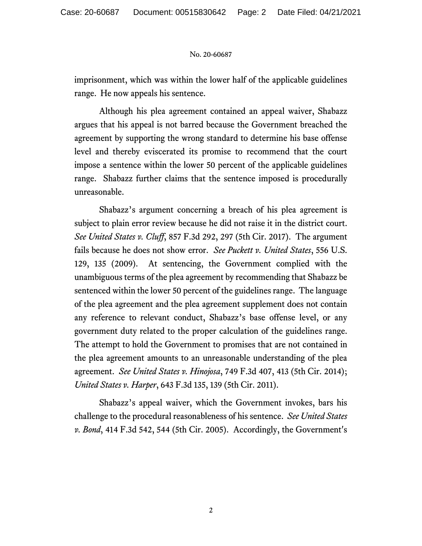## No. 20-60687

imprisonment, which was within the lower half of the applicable guidelines range. He now appeals his sentence.

Although his plea agreement contained an appeal waiver, Shabazz argues that his appeal is not barred because the Government breached the agreement by supporting the wrong standard to determine his base offense level and thereby eviscerated its promise to recommend that the court impose a sentence within the lower 50 percent of the applicable guidelines range. Shabazz further claims that the sentence imposed is procedurally unreasonable.

Shabazz's argument concerning a breach of his plea agreement is subject to plain error review because he did not raise it in the district court. *See United States v. Cluff*, 857 F.3d 292, 297 (5th Cir. 2017). The argument fails because he does not show error. *See Puckett v. United States*, 556 U.S. 129, 135 (2009). At sentencing, the Government complied with the unambiguous terms of the plea agreement by recommending that Shabazz be sentenced within the lower 50 percent of the guidelines range. The language of the plea agreement and the plea agreement supplement does not contain any reference to relevant conduct, Shabazz's base offense level, or any government duty related to the proper calculation of the guidelines range. The attempt to hold the Government to promises that are not contained in the plea agreement amounts to an unreasonable understanding of the plea agreement. *See United States v. Hinojosa*, 749 F.3d 407, 413 (5th Cir. 2014); *United States v. Harper*, 643 F.3d 135, 139 (5th Cir. 2011).

Shabazz's appeal waiver, which the Government invokes, bars his challenge to the procedural reasonableness of his sentence. *See United States v. Bond*, 414 F.3d 542, 544 (5th Cir. 2005). Accordingly, the Government's